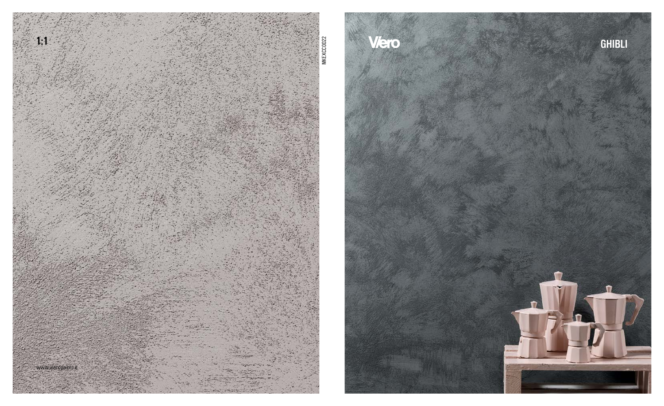

# Viero